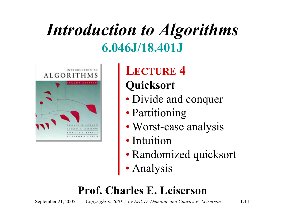## *Introduction to Algorithms* **6.046J/18.401J**



**LECTURE 4 Quicksort**

- Divide and conquer
- Partitioning
- Worst-case analysis
- Intuition
- Randomized quicksort
- Analysis

#### **Prof. Charles E. Leiserson**

September 21, 2005 *Copyright © 2001-5 by Erik D. Demaine and Charles E. Leiserson* L4.1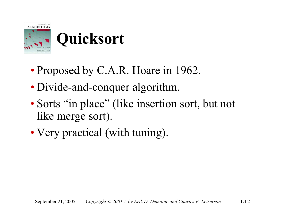

## **Quicksort**

- Proposed by C.A.R. Hoare in 1962.
- Divide-and-conquer algorithm.
- Sorts "in place" (like insertion sort, but not like merge sort).
- Very practical (with tuning).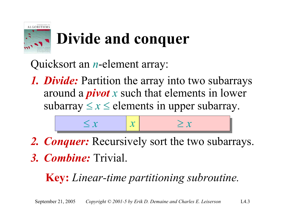

# **Divide and conquer**

Quicksort an *n*-element array:

*1. Divide:* Partition the array into two subarrays around a *pivot <sup>x</sup>* such that elements in lower subarray  $\leq x \leq$  elements in upper subarray.



*2. Conquer:* Recursively sort the two subarrays. *3. Combine:* Trivial.

#### **Key:** *Linear-time partitioning subroutine.*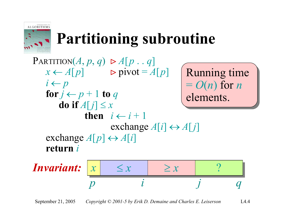

# **Partitioning subroutine**

#### Running time Running time <sup>=</sup>*O*(*n*) for *<sup>n</sup>* <sup>=</sup>*O*(*n*) for *<sup>n</sup>* elements. elements.  $PARTITION(A, p, q) \triangleright A[p, q]$  $x \leftarrow A[p]$   $\triangleright$  pivot =  $A[p]$ *i* ← *p* for  $j \leftarrow p+1$  to  $q$ **do if**  $A[j] \leq x$ **then**  $i \leftarrow i + 1$ exchange  $A[i] \leftrightarrow A[j]$ exchange  $A[p] \leftrightarrow A[i]$ **return** *i*

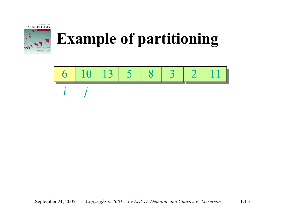

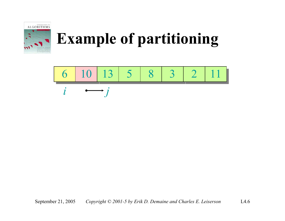

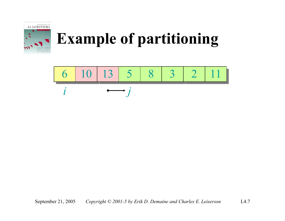

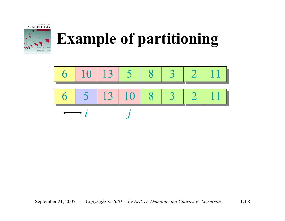

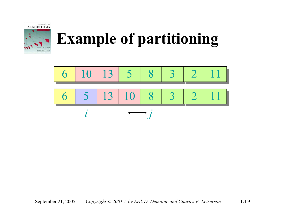

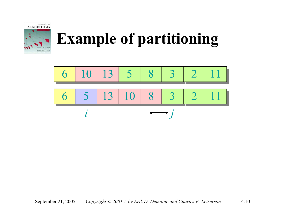

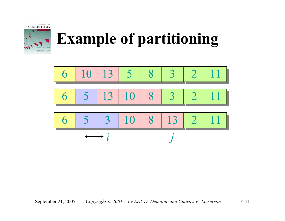

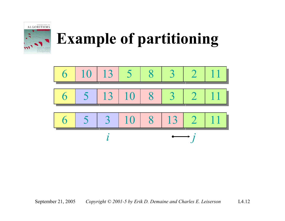

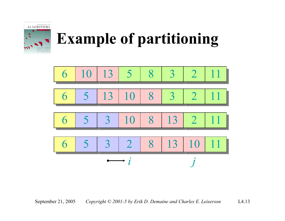



September 21, 2005 *Copyright © 2001-5 by Erik D. Demaine and Charles E. Leiserson* L4.13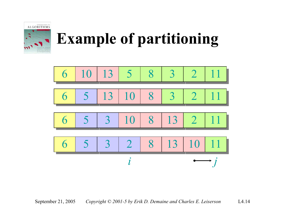

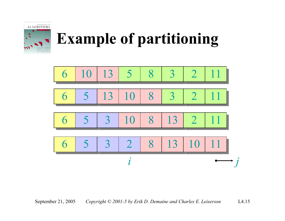



September 21, 2005 *Copyright © 2001-5 by Erik D. Demaine and Charles E. Leiserson* L4.15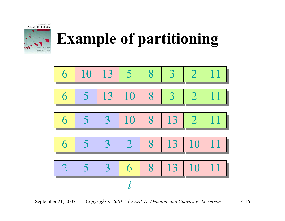

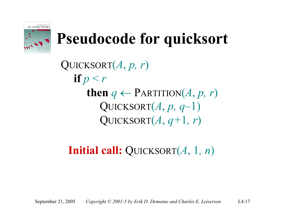

# **Pseudocode for quicksort**

QUICKSORT(*A*, *p, r*) **if** *p* < *<sup>r</sup>* **then**  $q \leftarrow$  PARTITION $(A, p, r)$ QUICKSORT $(A, p, q-1)$ QUICKSORT $(A, q+1, r)$ 

**Initial call:** QUICKSORT(*A*, 1*, <sup>n</sup>*)

September 21, 2005 *Copyright © 2001-5 by Erik D. Demaine and Charles E. Leiserson* L4.17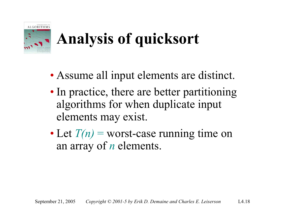

# **Analysis of quicksort**

- Assume all input elements are distinct.
- In practice, there are better partitioning algorithms for when duplicate input elements may exist.
- Let  $T(n)$  = worst-case running time on an array of *<sup>n</sup>* elements.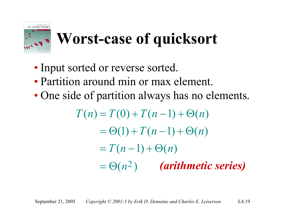

# **Worst-case of quicksort**

- Input sorted or reverse sorted.
- Partition around min or max element.
- One side of partition always has no elements.

$$
T(n) = T(0) + T(n-1) + \Theta(n)
$$
  
=  $\Theta(1) + T(n-1) + \Theta(n)$   
=  $T(n-1) + \Theta(n)$   
=  $\Theta(n^2)$  (arithmetic series)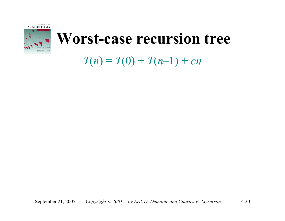

#### $T(n) = T(0) + T(n-1) + cn$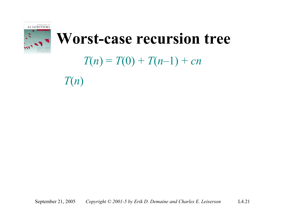

#### $T(n) = T(0) + T(n-1) + cn$

*T*(*n*)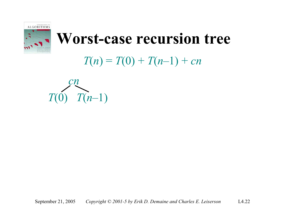

#### $T(n) = T(0) + T(n-1) + cn$

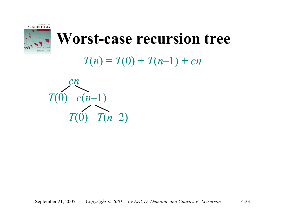

 $T(n) = T(0) + T(n-1) + cn$ 

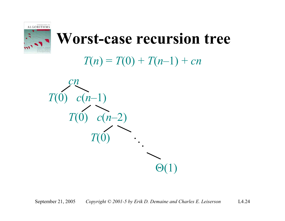

 $T(n) = T(0) + T(n-1) + cn$ 

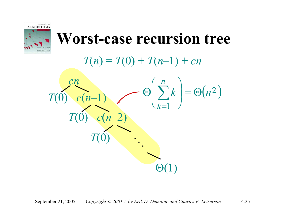

 $T(n) = T(0) + T(n-1) + cn$ 

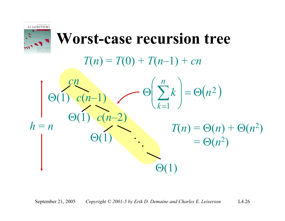

 $T(n) = T(0) + T(n-1) + cn$ 

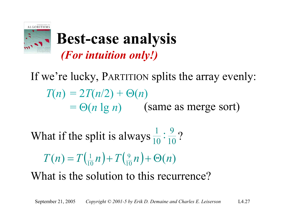

#### **Best-case analysis** *(For intuition only!)*

If we're lucky, PARTITION splits the array evenly:  $T(n) = 2T(n/2) + \Theta(n)$  $= \Theta(n \lg n)$  (same as merge sort)

What if the split is always  $\frac{1}{10}$ :  $\frac{9}{10}$ ?

$$
T(n) = T\left(\frac{1}{10}n\right) + T\left(\frac{9}{10}n\right) + \Theta(n)
$$

What is the solution to this recurrence?

September 21, 2005 *Copyright © 2001-5 by Erik D. Demaine and Charles E. Leiserson* L4.27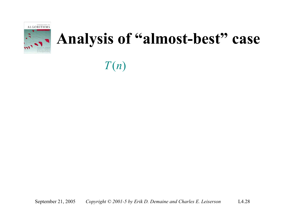

*T*(*n*)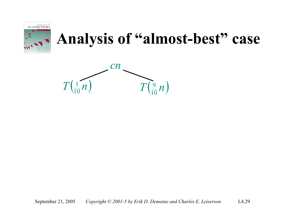

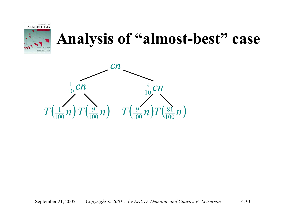

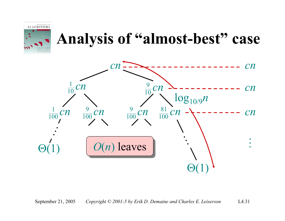



September 21, 2005 *Copyright © 2001-5 by Erik D. Demaine and Charles E. Leiserson* L4.31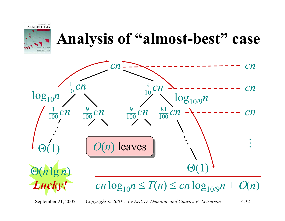



September 21, 2005 *Copyright © 2001-5 by Erik D. Demaine and Charles E. Leiserson* L4.32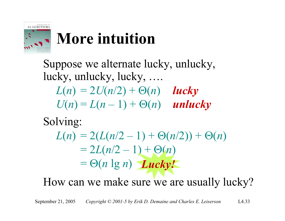

# **More intuition**

Suppose we alternate lucky, unlucky, lucky, unlucky, lucky, ….  $L(n) = 2U(n/2) + \Theta(n)$  *lucky*  $U(n) = L(n-1) + \Theta(n)$  *unlucky* 

Solving:

 $L(n) = 2(L(n/2 - 1) + \Theta(n/2)) + \Theta(n)$  $= 2L(n/2 - 1) + \Theta(n)$  $= \Theta(n \lg n)$  *Lucky!* 

How can we make sure we are usually lucky?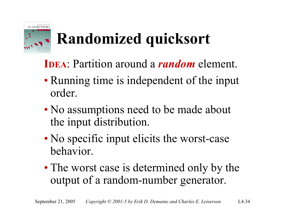

# **Randomized quicksort**

- **IDEA**: Partition around a *random* element.
- Running time is independent of the input order.
- No assumptions need to be made about the input distribution.
- No specific input elicits the worst-case behavior.
- The worst case is determined only by the output of a random-number generator.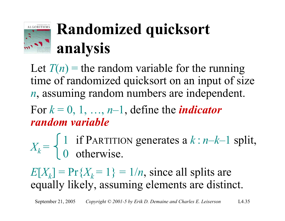

# **Randomized quicksort analysis**

Let  $T(n)$  = the random variable for the running time of randomized quicksort on an input of size *<sup>n</sup>*, assuming random numbers are independent.

For  $k = 0, 1, ..., n-1$ , define the *indicator random variable*

 $X_k = \begin{cases} 1 & \text{if } \text{PARTITION generates a } k : n-k-1 \text{ split,} \\ 0 & \text{otherwise.} \end{cases}$ 

 $E[X_k] = Pr{X_k = 1} = 1/n$ , since all splits are equally likely, assuming elements are distinct.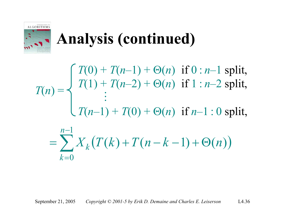

# **Analysis (continued)**

*T*(0) + *T*(*n*–1) + Θ(*n*) if 0 : *<sup>n</sup>*–1 split, *T*(1) + *T*(*n*–2) + Θ(*n*) if 1 : *<sup>n</sup>*–2 split,  $\ddot{\bullet}$ *T*(*n*–1) + *T*(0) + Θ(*n*) if *n*–1 : 0 split,  $T(n) = \frac{1}{2}$ 

$$
=\sum_{k=0}^{n-1} X_k (T(k) + T(n-k-1) + \Theta(n))
$$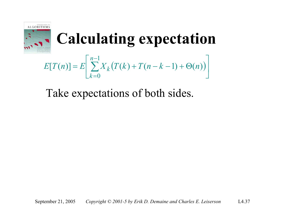

 $E[T(n)] = E\left[\sum_{k=0}^{n-1} X_k(T(k) + T(n-k-1) + \Theta(n))\right]$ 

Take expectations of both sides.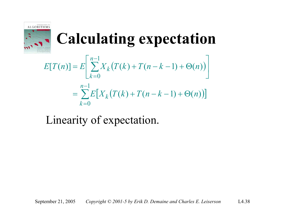

$$
E[T(n)] = E\left[\sum_{k=0}^{n-1} X_k (T(k) + T(n-k-1) + \Theta(n))\right]
$$
  
= 
$$
\sum_{k=0}^{n-1} E[X_k (T(k) + T(n-k-1) + \Theta(n))]
$$

#### Linearity of expectation.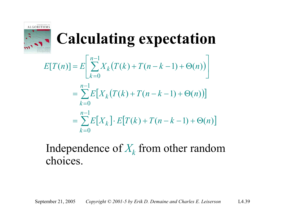

$$
E[T(n)] = E\left[\sum_{k=0}^{n-1} X_k (T(k) + T(n-k-1) + \Theta(n))\right]
$$
  
= 
$$
\sum_{k=0}^{n-1} E[X_k (T(k) + T(n-k-1) + \Theta(n))]
$$
  
= 
$$
\sum_{k=0}^{n-1} E[X_k] \cdot E[T(k) + T(n-k-1) + \Theta(n)]
$$

#### Independence of  $X_k$  from other random choices.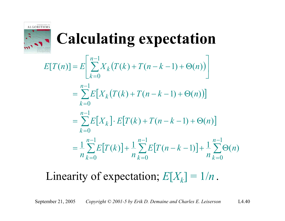

$$
E[T(n)] = E\left[\sum_{k=0}^{n-1} X_k (T(k) + T(n-k-1) + \Theta(n))\right]
$$
  
= 
$$
\sum_{k=0}^{n-1} E[X_k (T(k) + T(n-k-1) + \Theta(n))]
$$
  
= 
$$
\sum_{k=0}^{n-1} E[X_k] \cdot E[T(k) + T(n-k-1) + \Theta(n)]
$$
  
= 
$$
\frac{1}{n} \sum_{k=0}^{n-1} E[T(k)] + \frac{1}{n} \sum_{k=0}^{n-1} E[T(n-k-1)] + \frac{1}{n} \sum_{k=0}^{n-1} \Theta(n)
$$

#### Linearity of expectation;  $E[X_k] = 1/n$ .

September 21, 2005 *Copyright © 2001-5 by Erik D. Demaine and Charles E. Leiserson* L4.40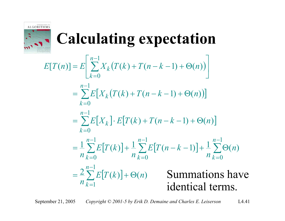

| $E[T(n)] = E\left[\sum_{k=0}^{n-1} X_k(T(k) + T(n-k-1) + \Theta(n))\right]$                                                      |                                            |
|----------------------------------------------------------------------------------------------------------------------------------|--------------------------------------------|
| $n-1$<br>= $\sum E[X_k(T(k) + T(n - k - 1) + \Theta(n))]$<br>$k=0$                                                               |                                            |
| $n-1$<br>$= \sum E[X_k] \cdot E[T(k) + T(n-k-1) + \Theta(n)]$<br>$k=0$                                                           |                                            |
| $=\frac{1}{n}\sum_{k=0}^{n-1}E[T(k)]+\frac{1}{n}\sum_{k=0}^{n-1}E[T(n-k-1)]+\frac{1}{n}\sum_{k=0}^{n-1}\Theta(n)$<br>$n_{k=0}^-$ |                                            |
| $= \frac{2}{n} \sum_{k=1}^{n-1} E[T(k)] + \Theta(n)$                                                                             | <b>Summations have</b><br>identical terms. |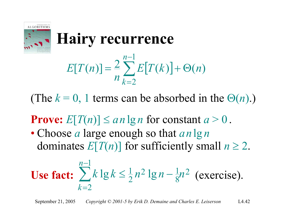

#### **Hairy recurrence**

$$
E[T(n)] = \frac{2}{n} \sum_{k=2}^{n-1} E[T(k)] + \Theta(n)
$$

(The  $k = 0$ , 1 terms can be absorbed in the  $\Theta(n)$ .)

#### **Prove:**  $E[T(n)] \leq a n \lg n$  for constant  $a > 0$ .

• Choose *<sup>a</sup>* large enough so that *an* lg *<sup>n</sup>* dominates  $E[T(n)]$  for sufficiently small  $n \ge 2$ .

Use **fact:** 
$$
\sum_{k=2}^{n-1} k \lg k \le \frac{1}{2} n^2 \lg n - \frac{1}{8} n^2
$$
 (exercise).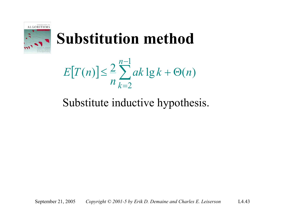

 $[T(n)] \leq \frac{2}{n} \sum_{k=1}^{n-1} ak \lg k + \Theta(n)$ 2 $ak \lg k + \Theta(n)$ *n*  $E$ <sup>*T*</sup> $(n$ *n k*≤ $\leq \frac{2}{3} \sum ak \lg k + \Theta$ − =

#### Substitute inductive hypothesis.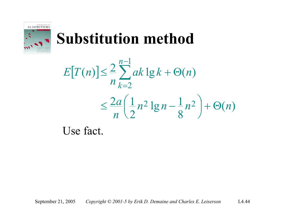

$$
E[T(n)] \le \frac{2}{n} \sum_{k=2}^{n-1} ak \lg k + \Theta(n)
$$
  

$$
\le \frac{2a}{n} \left(\frac{1}{2} n^2 \lg n - \frac{1}{8} n^2\right) + \Theta(n)
$$

Use fact.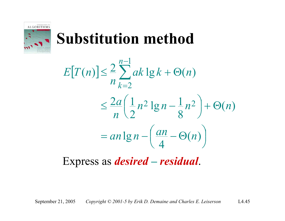

$$
E[T(n)] \le \frac{2}{n} \sum_{k=2}^{n-1} ak \lg k + \Theta(n)
$$
  

$$
\le \frac{2a}{n} \left(\frac{1}{2} n^2 \lg n - \frac{1}{8} n^2\right) + \Theta(n)
$$
  

$$
= an \lg n - \left(\frac{an}{4} - \Theta(n)\right)
$$

Express as *desired – residual*.

September 21, 2005 *Copyright © 2001-5 by Erik D. Demaine and Charles E. Leiserson* L4.45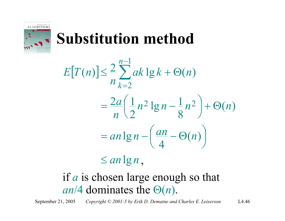

$$
E[T(n)] \leq \frac{2}{n} \sum_{k=2}^{n-1} ak \lg k + \Theta(n)
$$
  
= 
$$
\frac{2a}{n} \left( \frac{1}{2} n^2 \lg n - \frac{1}{8} n^2 \right) + \Theta(n)
$$
  
= 
$$
an \lg n - \left( \frac{an}{4} - \Theta(n) \right)
$$

 $\leq a n \lg n$  ,

#### if *a* is chosen large enough so that *an*/4 dominates the Θ(*n*).

September 21, 2005 *Copyright © 2001-5 by Erik D. Demaine and Charles E. Leiserson* L4.46